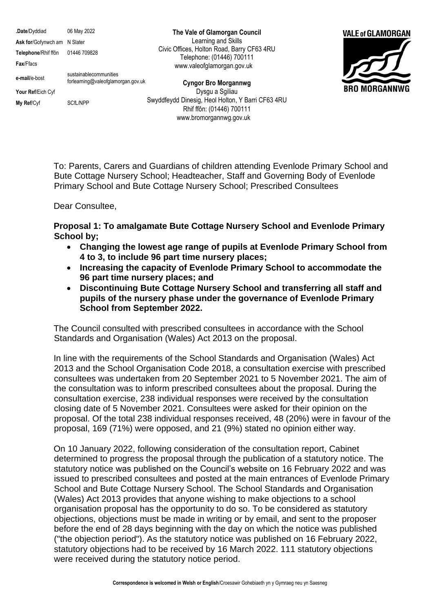**.Date**/Dyddiad 06 May 2022 **Ask for**/Gofynwch am N Slater **Telephone**/Rhif ffôn 01446 709828 **Fax**/Ffacs **e-mail**/e-bost sustainablecommunities forlearning@valeofglamorgan.gov.uk **Your Ref**/Eich Cyf **My Ref/Cyf** SCfL/NPP

**The Vale of Glamorgan Council** Learning and Skills Civic Offices, Holton Road, Barry CF63 4RU Telephone: (01446) 700111 www.valeofglamorgan.gov.uk

**Cyngor Bro Morgannwg** Dysgu a Sgiliau Swyddfeydd Dinesig, Heol Holton, Y Barri CF63 4RU Rhif ffôn: (01446) 700111 www.bromorgannwg.gov.uk



To: Parents, Carers and Guardians of children attending Evenlode Primary School and Bute Cottage Nursery School; Headteacher, Staff and Governing Body of Evenlode Primary School and Bute Cottage Nursery School; Prescribed Consultees

Dear Consultee,

**Proposal 1: To amalgamate Bute Cottage Nursery School and Evenlode Primary School by;** 

- **Changing the lowest age range of pupils at Evenlode Primary School from 4 to 3, to include 96 part time nursery places;**
- **Increasing the capacity of Evenlode Primary School to accommodate the 96 part time nursery places; and**
- **Discontinuing Bute Cottage Nursery School and transferring all staff and pupils of the nursery phase under the governance of Evenlode Primary School from September 2022.**

The Council consulted with prescribed consultees in accordance with the School Standards and Organisation (Wales) Act 2013 on the proposal.

In line with the requirements of the School Standards and Organisation (Wales) Act 2013 and the School Organisation Code 2018, a consultation exercise with prescribed consultees was undertaken from 20 September 2021 to 5 November 2021. The aim of the consultation was to inform prescribed consultees about the proposal. During the consultation exercise, 238 individual responses were received by the consultation closing date of 5 November 2021. Consultees were asked for their opinion on the proposal. Of the total 238 individual responses received, 48 (20%) were in favour of the proposal, 169 (71%) were opposed, and 21 (9%) stated no opinion either way.

On 10 January 2022, following consideration of the consultation report, Cabinet determined to progress the proposal through the publication of a statutory notice. The statutory notice was published on the Council's website on 16 February 2022 and was issued to prescribed consultees and posted at the main entrances of Evenlode Primary School and Bute Cottage Nursery School. The School Standards and Organisation (Wales) Act 2013 provides that anyone wishing to make objections to a school organisation proposal has the opportunity to do so. To be considered as statutory objections, objections must be made in writing or by email, and sent to the proposer before the end of 28 days beginning with the day on which the notice was published ("the objection period"). As the statutory notice was published on 16 February 2022, statutory objections had to be received by 16 March 2022. 111 statutory objections were received during the statutory notice period.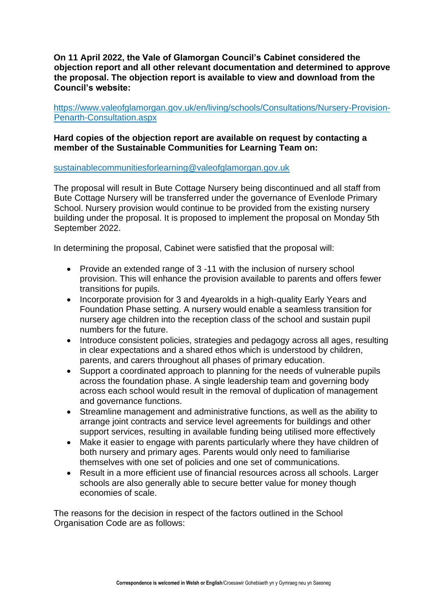**On 11 April 2022, the Vale of Glamorgan Council's Cabinet considered the objection report and all other relevant documentation and determined to approve the proposal. The objection report is available to view and download from the Council's website:**

[https://www.valeofglamorgan.gov.uk/en/living/schools/Consultations/Nursery-Provision-](https://www.valeofglamorgan.gov.uk/en/living/schools/Consultations/Nursery-Provision-Penarth-Consultation.aspx)[Penarth-Consultation.aspx](https://www.valeofglamorgan.gov.uk/en/living/schools/Consultations/Nursery-Provision-Penarth-Consultation.aspx)

### **Hard copies of the objection report are available on request by contacting a member of the Sustainable Communities for Learning Team on:**

#### [sustainablecommunitiesforlearning@valeofglamorgan.gov.uk](mailto:sustainablecommunitiesforlearning@valeofglamorgan.gov.uk)

The proposal will result in Bute Cottage Nursery being discontinued and all staff from Bute Cottage Nursery will be transferred under the governance of Evenlode Primary School. Nursery provision would continue to be provided from the existing nursery building under the proposal. It is proposed to implement the proposal on Monday 5th September 2022.

In determining the proposal, Cabinet were satisfied that the proposal will:

- Provide an extended range of 3 -11 with the inclusion of nursery school provision. This will enhance the provision available to parents and offers fewer transitions for pupils.
- Incorporate provision for 3 and 4yearolds in a high-quality Early Years and Foundation Phase setting. A nursery would enable a seamless transition for nursery age children into the reception class of the school and sustain pupil numbers for the future.
- Introduce consistent policies, strategies and pedagogy across all ages, resulting in clear expectations and a shared ethos which is understood by children, parents, and carers throughout all phases of primary education.
- Support a coordinated approach to planning for the needs of vulnerable pupils across the foundation phase. A single leadership team and governing body across each school would result in the removal of duplication of management and governance functions.
- Streamline management and administrative functions, as well as the ability to arrange joint contracts and service level agreements for buildings and other support services, resulting in available funding being utilised more effectively
- Make it easier to engage with parents particularly where they have children of both nursery and primary ages. Parents would only need to familiarise themselves with one set of policies and one set of communications.
- Result in a more efficient use of financial resources across all schools. Larger schools are also generally able to secure better value for money though economies of scale.

The reasons for the decision in respect of the factors outlined in the School Organisation Code are as follows: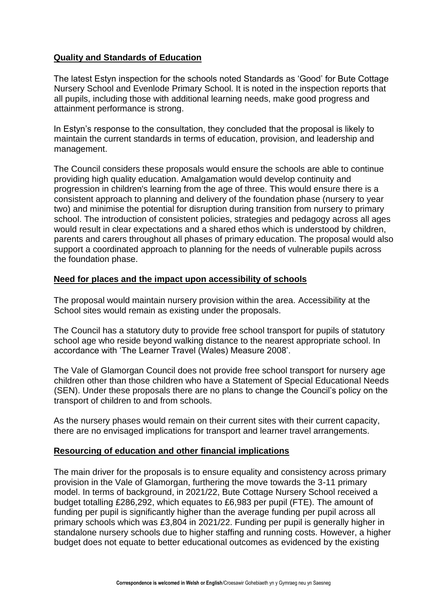## **Quality and Standards of Education**

The latest Estyn inspection for the schools noted Standards as 'Good' for Bute Cottage Nursery School and Evenlode Primary School. It is noted in the inspection reports that all pupils, including those with additional learning needs, make good progress and attainment performance is strong.

In Estyn's response to the consultation, they concluded that the proposal is likely to maintain the current standards in terms of education, provision, and leadership and management.

The Council considers these proposals would ensure the schools are able to continue providing high quality education. Amalgamation would develop continuity and progression in children's learning from the age of three. This would ensure there is a consistent approach to planning and delivery of the foundation phase (nursery to year two) and minimise the potential for disruption during transition from nursery to primary school. The introduction of consistent policies, strategies and pedagogy across all ages would result in clear expectations and a shared ethos which is understood by children, parents and carers throughout all phases of primary education. The proposal would also support a coordinated approach to planning for the needs of vulnerable pupils across the foundation phase.

#### **Need for places and the impact upon accessibility of schools**

The proposal would maintain nursery provision within the area. Accessibility at the School sites would remain as existing under the proposals.

The Council has a statutory duty to provide free school transport for pupils of statutory school age who reside beyond walking distance to the nearest appropriate school. In accordance with 'The Learner Travel (Wales) Measure 2008'.

The Vale of Glamorgan Council does not provide free school transport for nursery age children other than those children who have a Statement of Special Educational Needs (SEN). Under these proposals there are no plans to change the Council's policy on the transport of children to and from schools.

As the nursery phases would remain on their current sites with their current capacity, there are no envisaged implications for transport and learner travel arrangements.

### **Resourcing of education and other financial implications**

The main driver for the proposals is to ensure equality and consistency across primary provision in the Vale of Glamorgan, furthering the move towards the 3-11 primary model. In terms of background, in 2021/22, Bute Cottage Nursery School received a budget totalling £286,292, which equates to £6,983 per pupil (FTE). The amount of funding per pupil is significantly higher than the average funding per pupil across all primary schools which was £3,804 in 2021/22. Funding per pupil is generally higher in standalone nursery schools due to higher staffing and running costs. However, a higher budget does not equate to better educational outcomes as evidenced by the existing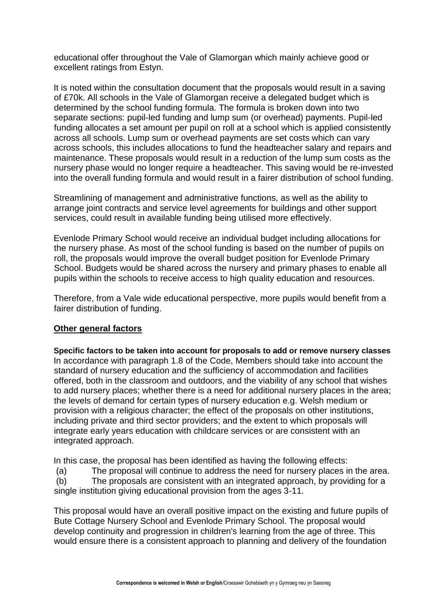educational offer throughout the Vale of Glamorgan which mainly achieve good or excellent ratings from Estyn.

It is noted within the consultation document that the proposals would result in a saving of £70k. All schools in the Vale of Glamorgan receive a delegated budget which is determined by the school funding formula. The formula is broken down into two separate sections: pupil-led funding and lump sum (or overhead) payments. Pupil-led funding allocates a set amount per pupil on roll at a school which is applied consistently across all schools. Lump sum or overhead payments are set costs which can vary across schools, this includes allocations to fund the headteacher salary and repairs and maintenance. These proposals would result in a reduction of the lump sum costs as the nursery phase would no longer require a headteacher. This saving would be re-invested into the overall funding formula and would result in a fairer distribution of school funding.

Streamlining of management and administrative functions, as well as the ability to arrange joint contracts and service level agreements for buildings and other support services, could result in available funding being utilised more effectively.

Evenlode Primary School would receive an individual budget including allocations for the nursery phase. As most of the school funding is based on the number of pupils on roll, the proposals would improve the overall budget position for Evenlode Primary School. Budgets would be shared across the nursery and primary phases to enable all pupils within the schools to receive access to high quality education and resources.

Therefore, from a Vale wide educational perspective, more pupils would benefit from a fairer distribution of funding.

### **Other general factors**

**Specific factors to be taken into account for proposals to add or remove nursery classes** In accordance with paragraph 1.8 of the Code, Members should take into account the standard of nursery education and the sufficiency of accommodation and facilities offered, both in the classroom and outdoors, and the viability of any school that wishes to add nursery places; whether there is a need for additional nursery places in the area; the levels of demand for certain types of nursery education e.g. Welsh medium or provision with a religious character; the effect of the proposals on other institutions, including private and third sector providers; and the extent to which proposals will integrate early years education with childcare services or are consistent with an integrated approach.

In this case, the proposal has been identified as having the following effects:

(a) The proposal will continue to address the need for nursery places in the area.

(b) The proposals are consistent with an integrated approach, by providing for a single institution giving educational provision from the ages 3-11.

This proposal would have an overall positive impact on the existing and future pupils of Bute Cottage Nursery School and Evenlode Primary School. The proposal would develop continuity and progression in children's learning from the age of three. This would ensure there is a consistent approach to planning and delivery of the foundation